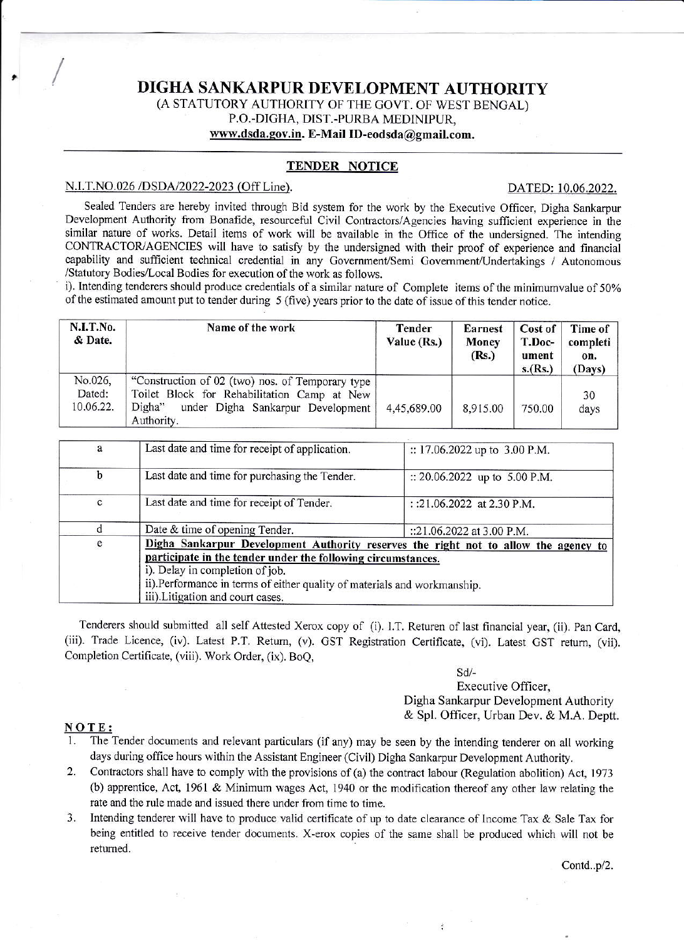# DIGHA SANKARPUR DEVELOPMENT AUTHORITY (A STATUTORY AUTHORITY OF THE GOVT. OF WEST BENGAL) P.O.-DIGHA, DIST.-PURBA MEDINIPUR. www.dsda.gov.in. E-Mail ID-eodsda@gmail.com.

## TENDER NOTICE

#### N.I.T.NO.026 /DSDA/2022-2023 (Off Line).

#### DATED: 10.06.2022.

Sealed Tenders are hereby invited through Bid system for the work by the Executive Officer, Digha Sankarpur Development Authority from Bonafide, resourceful Civil Contractors/Agencies having sufficient experience in the similar nature of works. Detail items of work will be available in the Office of the undersigned. The intending CONTRACTOR/AGENCIES will have to satisfy by the undersigned with their proof of experience and financial capability and sufficient technical credential in any Government/Semi Government/Undertakings / Autonomous /Statutory Bodies/Local Bodies for execution of the work as follows.

i). Intending tenderers should produce credentials of a similar nature of Complete items of the minimumvalue of 50% of the estimated amount put to tender during 5 (five) years prior to the date of issue of this tender notice.

| N.I.T.No.<br>& Date.           | Name of the work                                                                                                                                             | <b>Tender</b><br>Value (Rs.) | <b>Earnest</b><br>Money<br>(Rs.) | Cost of<br>T.Doc-<br>ument<br>s.(Rs.) | Time of<br>completi<br>on.<br>(Days) |
|--------------------------------|--------------------------------------------------------------------------------------------------------------------------------------------------------------|------------------------------|----------------------------------|---------------------------------------|--------------------------------------|
| No.026,<br>Dated:<br>10.06.22. | "Construction of 02 (two) nos. of Temporary type<br>Toilet Block for Rehabilitation Camp at New<br>Digha"<br>under Digha Sankarpur Development<br>Authority. | 4,45,689.00                  | 8,915.00                         | 750.00                                | 30<br>days                           |

| a            | Last date and time for receipt of application.                                                                | :: 17.06.2022 up to 3.00 P.M.   |  |  |
|--------------|---------------------------------------------------------------------------------------------------------------|---------------------------------|--|--|
| b            | Last date and time for purchasing the Tender.                                                                 | :: 20.06.2022 up to $5.00$ P.M. |  |  |
| $\mathbf{C}$ | Last date and time for receipt of Tender.                                                                     | : :21.06.2022 at 2.30 P.M.      |  |  |
|              | Date & time of opening Tender.                                                                                | ::21.06.2022 at 3.00 P.M.       |  |  |
| e            | Digha Sankarpur Development Authority reserves the right not to allow the agency to                           |                                 |  |  |
|              | participate in the tender under the following circumstances.                                                  |                                 |  |  |
|              | i). Delay in completion of job.                                                                               |                                 |  |  |
|              | ii).Performance in terms of either quality of materials and workmanship.<br>iii). Litigation and court cases. |                                 |  |  |
|              |                                                                                                               |                                 |  |  |

Tenderers should submitted all self Attested Xerox copy of (i). I.T. Returen of last financial year, (ii). Pan Card, (iii). Trade Licence, (iv). Latest P.T. Return, (v). GST Registration Certificate, (vi). Latest GST return, (vii). Completion Certificate, (viii). Work Order, (ix). BoQ,

> $Sd/-$ Executive Officer, Digha Sankarpur Development Authority & Spl. Officer, Urban Dev. & M.A. Deptt.

> > š

#### NOTE:

The Tender documents and relevant particulars (if any) may be seen by the intending tenderer on all working days during office hours within the Assistant Engineer (Civil) Digha Sankarpur Development Authority.

- 2. Contractors shall have to comply with the provisions of (a) the contract labour (Regulation abolition) Act, 1973 (b) apprentice, Act, 1961 & Minimum wages Act, 1940 or the modification thereof any other law relating the rate and the rule made and issued there under from time to time.
- Intending tenderer will have to produce valid certificate of up to date clearance of Income Tax & Sale Tax for 3. being entitled to receive tender documents. X-erox copies of the same shall be produced which will not be returned.

Contd..p/2.